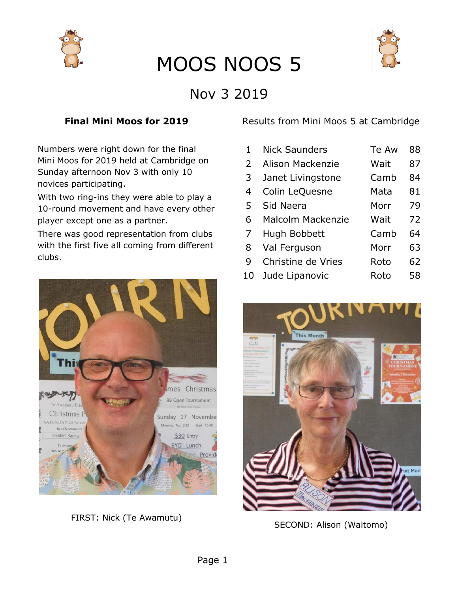



### Nov 3 2019

#### **Final Mini Moos for 2019**

Numbers were right down for the final Mini Moos for 2019 held at Cambridge on Sunday afternoon Nov 3 with only 10 novices participating.

With two ring-ins they were able to play a 10-round movement and have every other player except one as a partner.

There was good representation from clubs with the first five all coming from different clubs.



FIRST: Nick (Te Awamutu)

Results from Mini Moos 5 at Cambridge

| 1. | <b>Nick Saunders</b> | Te Aw | 88 |
|----|----------------------|-------|----|
| 2  | Alison Mackenzie     | Wait  | 87 |
| 3  | Janet Livingstone    | Camb  | 84 |
| 4  | Colin LeQuesne       | Mata  | 81 |
| 5  | Sid Naera            | Morr  | 79 |
| 6  | Malcolm Mackenzie    | Wait  | 72 |
| 7  | Hugh Bobbett         | Camb  | 64 |
| 8  | Val Ferguson         | Morr  | 63 |
| 9  | Christine de Vries   | Roto  | 62 |
| 10 | Jude Lipanovic       | Roto  | 58 |



SECOND: Alison (Waitomo)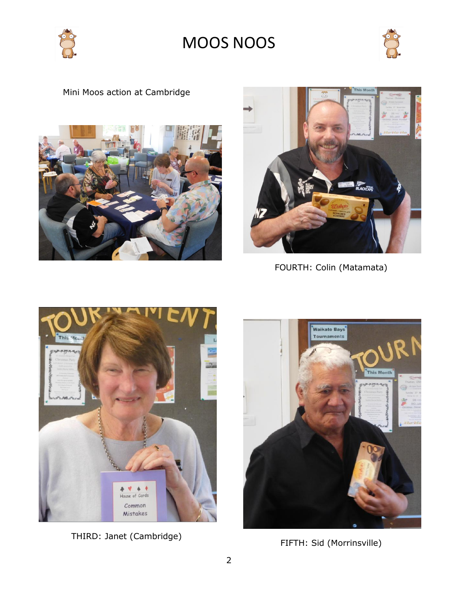



### Mini Moos action at Cambridge





FOURTH: Colin (Matamata)



THIRD: Janet (Cambridge)



FIFTH: Sid (Morrinsville)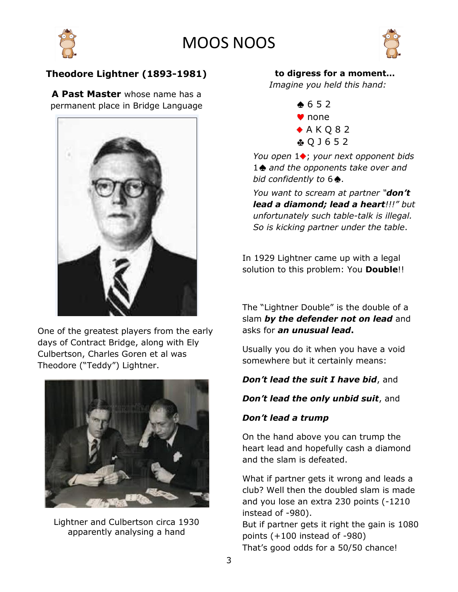





#### **Theodore Lightner (1893-1981)**

**A Past Master** whose name has a permanent place in Bridge Language



One of the greatest players from the early days of Contract Bridge, along with Ely Culbertson, Charles Goren et al was Theodore ("Teddy") Lightner.



Lightner and Culbertson circa 1930 apparently analysing a hand

#### **to digress for a moment…**

*Imagine you held this hand:*

 $\bullet$  6 5 2 ♥ none  $A K Q 82$ Q J 6 5 2

*You open* 1♦; *your next opponent bids* 1 *and the opponents take over and bid confidently to*  $6 \triangle$ .

*You want to scream at partner "don't lead a diamond; lead a heart!!!" but unfortunately such table-talk is illegal. So is kicking partner under the table*.

In 1929 Lightner came up with a legal solution to this problem: You **Double**!!

The "Lightner Double" is the double of a slam *by the defender not on lead* and asks for *an unusual lead***.**

Usually you do it when you have a void somewhere but it certainly means:

#### *Don't lead the suit I have bid*, and

#### *Don't lead the only unbid suit*, and

#### *Don't lead a trump*

On the hand above you can trump the heart lead and hopefully cash a diamond and the slam is defeated.

What if partner gets it wrong and leads a club? Well then the doubled slam is made and you lose an extra 230 points (-1210 instead of -980). But if partner gets it right the gain is 1080 points (+100 instead of -980)

That's good odds for a 50/50 chance!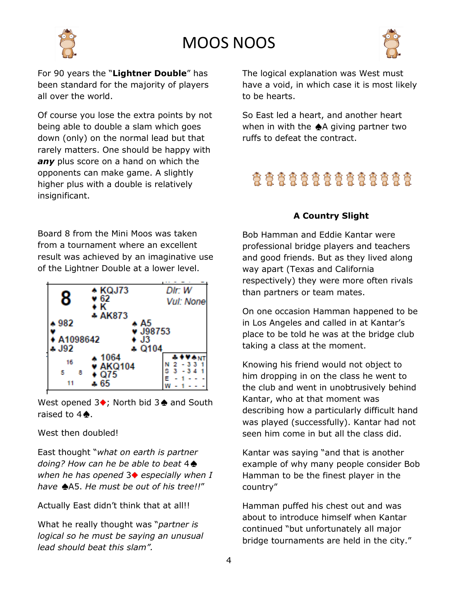

For 90 years the "**Lightner Double**" has been standard for the majority of players all over the world.

Of course you lose the extra points by not being able to double a slam which goes down (only) on the normal lead but that rarely matters. One should be happy with *any* plus score on a hand on which the opponents can make game. A slightly higher plus with a double is relatively insignificant.

Board 8 from the Mini Moos was taken from a tournament where an excellent result was achieved by an imaginative use of the Lightner Double at a lower level.

| 8                     | ◆ KQJ73<br>62   | Dir: W    |  |  |
|-----------------------|-----------------|-----------|--|--|
|                       | ۰ĸ              | Vul: None |  |  |
|                       | + AK873         |           |  |  |
| 982ء                  | * A5            |           |  |  |
| v J98753              |                 |           |  |  |
| A1098642<br><b>J3</b> |                 |           |  |  |
| s J92                 | $+0104$         |           |  |  |
|                       | 1064            |           |  |  |
| 16                    | <b>v AKQ104</b> |           |  |  |
| 5<br>8                | Q75             | s         |  |  |
|                       |                 |           |  |  |
|                       |                 |           |  |  |

West opened  $3\bullet$ ; North bid  $3\bullet$  and South raised to  $4\clubsuit$ .

#### West then doubled!

East thought "*what on earth is partner doing? How can he be able to beat* 4 *when he has opened* 3 *especially when I have* A5. *He must be out of his tree!!*"

#### Actually East didn't think that at all!!

What he really thought was "*partner is logical so he must be saying an unusual lead should beat this slam".*

The logical explanation was West must have a void, in which case it is most likely to be hearts.

So East led a heart, and another heart when in with the  $\triangle A$  giving partner two ruffs to defeat the contract.

### \*\*\*\*\*\*\*\*\*\*\*\*\*\*

#### **A Country Slight**

Bob Hamman and Eddie Kantar were professional bridge players and teachers and good friends. But as they lived along way apart (Texas and California respectively) they were more often rivals than partners or team mates.

On one occasion Hamman happened to be in Los Angeles and called in at Kantar's place to be told he was at the bridge club taking a class at the moment.

Knowing his friend would not object to him dropping in on the class he went to the club and went in unobtrusively behind Kantar, who at that moment was describing how a particularly difficult hand was played (successfully). Kantar had not seen him come in but all the class did.

Kantar was saying "and that is another example of why many people consider Bob Hamman to be the finest player in the country"

Hamman puffed his chest out and was about to introduce himself when Kantar continued "but unfortunately all major bridge tournaments are held in the city."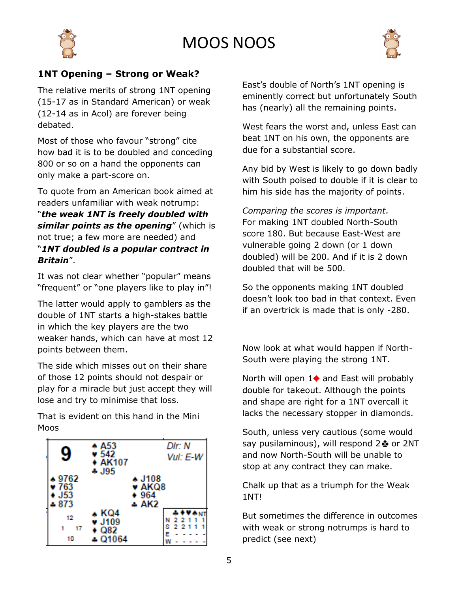



#### **1NT Opening – Strong or Weak?**

The relative merits of strong 1NT opening (15-17 as in Standard American) or weak (12-14 as in Acol) are forever being debated.

Most of those who favour "strong" cite how bad it is to be doubled and conceding 800 or so on a hand the opponents can only make a part-score on.

To quote from an American book aimed at readers unfamiliar with weak notrump:

"*the weak 1NT is freely doubled with similar points as the opening*" (which is not true; a few more are needed) and "*1NT doubled is a popular contract in Britain*".

It was not clear whether "popular" means "frequent" or "one players like to play in"!

The latter would apply to gamblers as the double of 1NT starts a high-stakes battle in which the key players are the two weaker hands, which can have at most 12 points between them.

The side which misses out on their share of those 12 points should not despair or play for a miracle but just accept they will lose and try to minimise that loss.

That is evident on this hand in the Mini Moos



East's double of North's 1NT opening is eminently correct but unfortunately South has (nearly) all the remaining points.

West fears the worst and, unless East can beat 1NT on his own, the opponents are due for a substantial score.

Any bid by West is likely to go down badly with South poised to double if it is clear to him his side has the majority of points.

*Comparing the scores is important*. For making 1NT doubled North-South score 180. But because East-West are vulnerable going 2 down (or 1 down doubled) will be 200. And if it is 2 down doubled that will be 500.

So the opponents making 1NT doubled doesn't look too bad in that context. Even if an overtrick is made that is only -280.

Now look at what would happen if North-South were playing the strong 1NT.

North will open  $1\blacklozenge$  and East will probably double for takeout. Although the points and shape are right for a 1NT overcall it lacks the necessary stopper in diamonds.

South, unless very cautious (some would say pusilaminous), will respond  $2\clubsuit$  or 2NT and now North-South will be unable to stop at any contract they can make.

Chalk up that as a triumph for the Weak 1NT!

But sometimes the difference in outcomes with weak or strong notrumps is hard to predict (see next)